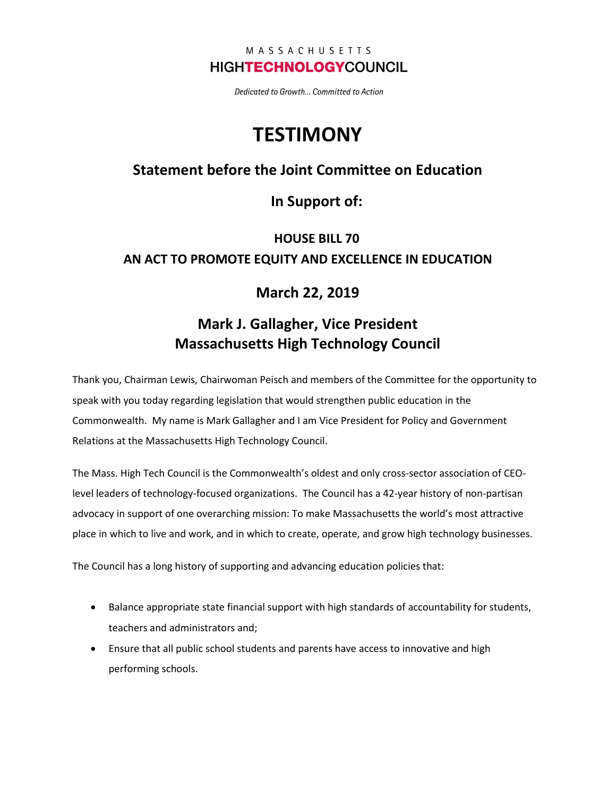#### MASSACHUSETTS **HIGHTECHNOLOGYCOUNCIL**

Dedicated to Growth... Committed to Action

# **TESTIMONY**

#### **Statement before the Joint Committee on Education**

#### **In Support of:**

## **HOUSE BILL 70 AN ACT TO PROMOTE EQUITY AND EXCELLENCE IN EDUCATION**

#### **March 22, 2019**

### **Mark J. Gallagher, Vice President Massachusetts High Technology Council**

Thank you, Chairman Lewis, Chairwoman Peisch and members of the Committee for the opportunity to speak with you today regarding legislation that would strengthen public education in the Commonwealth. My name is Mark Gallagher and I am Vice President for Policy and Government Relations at the Massachusetts High Technology Council.

The Mass. High Tech Council is the Commonwealth's oldest and only cross-sector association of CEOlevel leaders of technology-focused organizations. The Council has a 42-year history of non-partisan advocacy in support of one overarching mission: To make Massachusetts the world's most attractive place in which to live and work, and in which to create, operate, and grow high technology businesses.

The Council has a long history of supporting and advancing education policies that:

- Balance appropriate state financial support with high standards of accountability for students, teachers and administrators and;
- Ensure that all public school students and parents have access to innovative and high performing schools.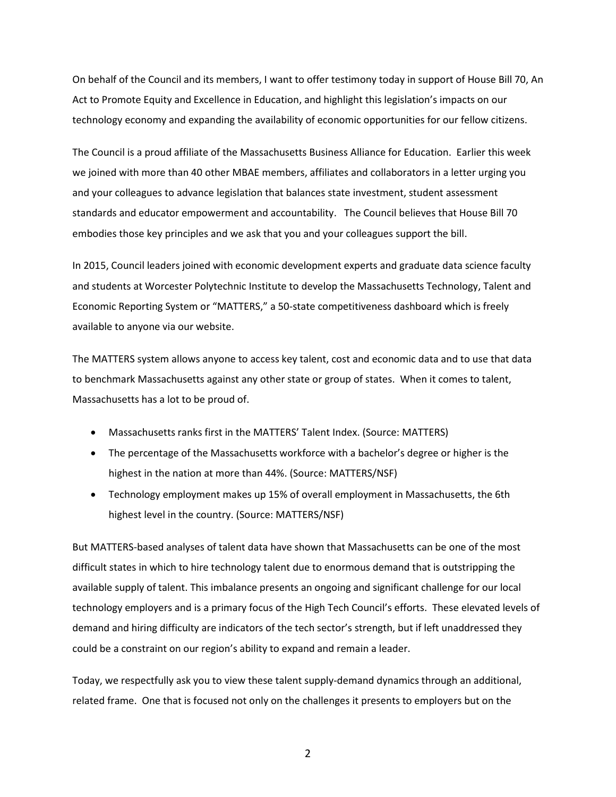On behalf of the Council and its members, I want to offer testimony today in support of House Bill 70, An Act to Promote Equity and Excellence in Education, and highlight this legislation's impacts on our technology economy and expanding the availability of economic opportunities for our fellow citizens.

The Council is a proud affiliate of the Massachusetts Business Alliance for Education. Earlier this week we joined with more than 40 other MBAE members, affiliates and collaborators in a letter urging you and your colleagues to advance legislation that balances state investment, student assessment standards and educator empowerment and accountability. The Council believes that House Bill 70 embodies those key principles and we ask that you and your colleagues support the bill.

In 2015, Council leaders joined with economic development experts and graduate data science faculty and students at Worcester Polytechnic Institute to develop the Massachusetts Technology, Talent and Economic Reporting System or "MATTERS," a 50-state competitiveness dashboard which is freely available to anyone via our website.

The MATTERS system allows anyone to access key talent, cost and economic data and to use that data to benchmark Massachusetts against any other state or group of states. When it comes to talent, Massachusetts has a lot to be proud of.

- Massachusetts ranks first in the MATTERS' Talent Index. (Source: MATTERS)
- The percentage of the Massachusetts workforce with a bachelor's degree or higher is the highest in the nation at more than 44%. (Source: MATTERS/NSF)
- Technology employment makes up 15% of overall employment in Massachusetts, the 6th highest level in the country. (Source: MATTERS/NSF)

But MATTERS-based analyses of talent data have shown that Massachusetts can be one of the most difficult states in which to hire technology talent due to enormous demand that is outstripping the available supply of talent. This imbalance presents an ongoing and significant challenge for our local technology employers and is a primary focus of the High Tech Council's efforts. These elevated levels of demand and hiring difficulty are indicators of the tech sector's strength, but if left unaddressed they could be a constraint on our region's ability to expand and remain a leader.

Today, we respectfully ask you to view these talent supply-demand dynamics through an additional, related frame. One that is focused not only on the challenges it presents to employers but on the

2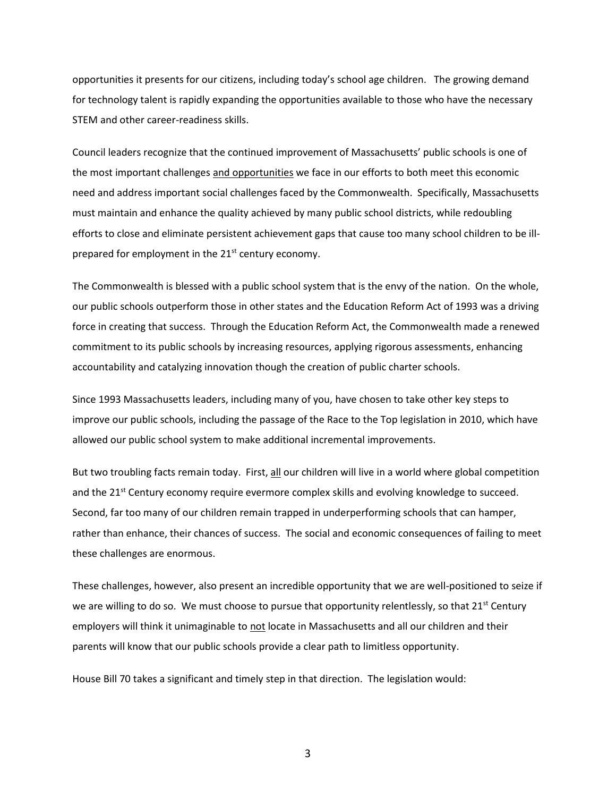opportunities it presents for our citizens, including today's school age children. The growing demand for technology talent is rapidly expanding the opportunities available to those who have the necessary STEM and other career-readiness skills.

Council leaders recognize that the continued improvement of Massachusetts' public schools is one of the most important challenges and opportunities we face in our efforts to both meet this economic need and address important social challenges faced by the Commonwealth. Specifically, Massachusetts must maintain and enhance the quality achieved by many public school districts, while redoubling efforts to close and eliminate persistent achievement gaps that cause too many school children to be illprepared for employment in the 21<sup>st</sup> century economy.

The Commonwealth is blessed with a public school system that is the envy of the nation. On the whole, our public schools outperform those in other states and the Education Reform Act of 1993 was a driving force in creating that success. Through the Education Reform Act, the Commonwealth made a renewed commitment to its public schools by increasing resources, applying rigorous assessments, enhancing accountability and catalyzing innovation though the creation of public charter schools.

Since 1993 Massachusetts leaders, including many of you, have chosen to take other key steps to improve our public schools, including the passage of the Race to the Top legislation in 2010, which have allowed our public school system to make additional incremental improvements.

But two troubling facts remain today. First, all our children will live in a world where global competition and the  $21^{st}$  Century economy require evermore complex skills and evolving knowledge to succeed. Second, far too many of our children remain trapped in underperforming schools that can hamper, rather than enhance, their chances of success. The social and economic consequences of failing to meet these challenges are enormous.

These challenges, however, also present an incredible opportunity that we are well-positioned to seize if we are willing to do so. We must choose to pursue that opportunity relentlessly, so that  $21^{st}$  Century employers will think it unimaginable to not locate in Massachusetts and all our children and their parents will know that our public schools provide a clear path to limitless opportunity.

House Bill 70 takes a significant and timely step in that direction. The legislation would:

3